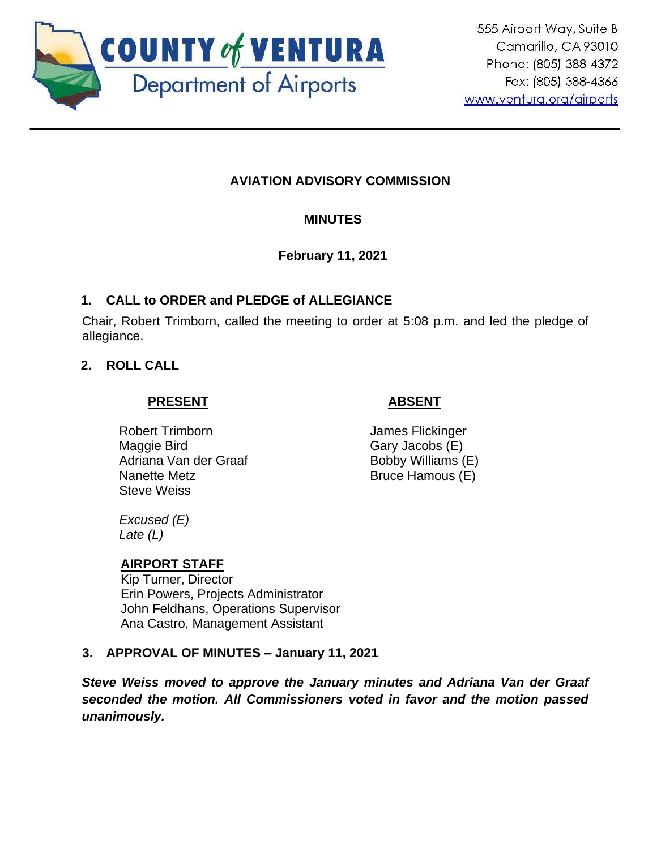

# **AVIATION ADVISORY COMMISSION**

# **MINUTES**

# **February 11, 2021**

# **1. CALL to ORDER and PLEDGE of ALLEGIANCE**

Chair, Robert Trimborn, called the meeting to order at 5:08 p.m. and led the pledge of allegiance.

## **2. ROLL CALL**

### **PRESENT**

# **ABSENT**

Robert Trimborn Maggie Bird Adriana Van der Graaf Nanette Metz Steve Weiss

James Flickinger Gary Jacobs (E) Bobby Williams (E) Bruce Hamous (E)

*Excused (E) Late (L)*

### **AIRPORT STAFF**

Kip Turner, Director Erin Powers, Projects Administrator John Feldhans, Operations Supervisor Ana Castro, Management Assistant

### **3. APPROVAL OF MINUTES – January 11, 2021**

*Steve Weiss moved to approve the January minutes and Adriana Van der Graaf seconded the motion. All Commissioners voted in favor and the motion passed unanimously.*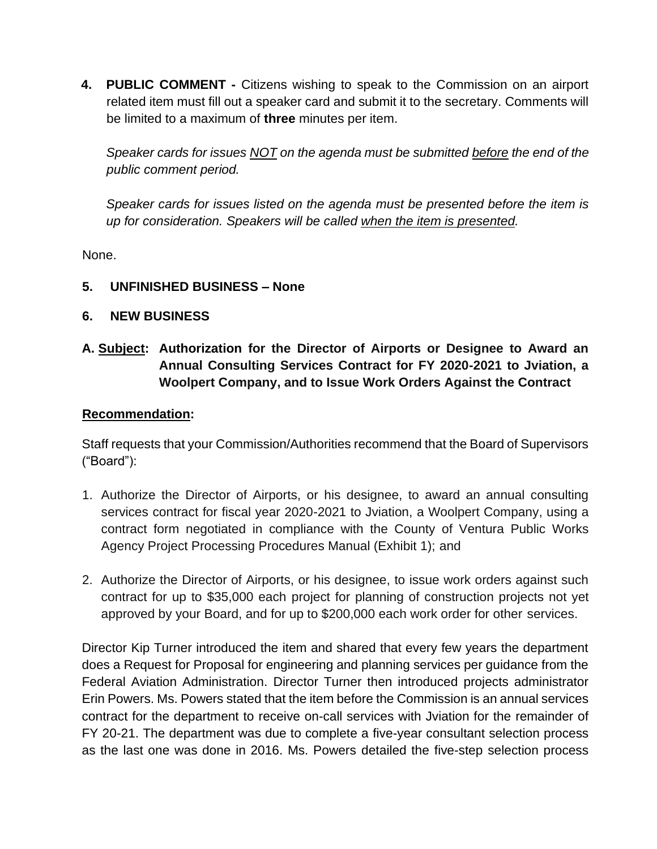**4. PUBLIC COMMENT -** Citizens wishing to speak to the Commission on an airport related item must fill out a speaker card and submit it to the secretary. Comments will be limited to a maximum of **three** minutes per item.

*Speaker cards for issues NOT on the agenda must be submitted before the end of the public comment period.* 

*Speaker cards for issues listed on the agenda must be presented before the item is up for consideration. Speakers will be called when the item is presented.*

None.

**5. UNFINISHED BUSINESS – None** 

## **6. NEW BUSINESS**

# **A. Subject: Authorization for the Director of Airports or Designee to Award an Annual Consulting Services Contract for FY 2020-2021 to Jviation, a Woolpert Company, and to Issue Work Orders Against the Contract**

### **Recommendation:**

Staff requests that your Commission/Authorities recommend that the Board of Supervisors ("Board"):

- 1. Authorize the Director of Airports, or his designee, to award an annual consulting services contract for fiscal year 2020-2021 to Jviation, a Woolpert Company, using a contract form negotiated in compliance with the County of Ventura Public Works Agency Project Processing Procedures Manual (Exhibit 1); and
- 2. Authorize the Director of Airports, or his designee, to issue work orders against such contract for up to \$35,000 each project for planning of construction projects not yet approved by your Board, and for up to \$200,000 each work order for other services.

Director Kip Turner introduced the item and shared that every few years the department does a Request for Proposal for engineering and planning services per guidance from the Federal Aviation Administration. Director Turner then introduced projects administrator Erin Powers. Ms. Powers stated that the item before the Commission is an annual services contract for the department to receive on-call services with Jviation for the remainder of FY 20-21. The department was due to complete a five-year consultant selection process as the last one was done in 2016. Ms. Powers detailed the five-step selection process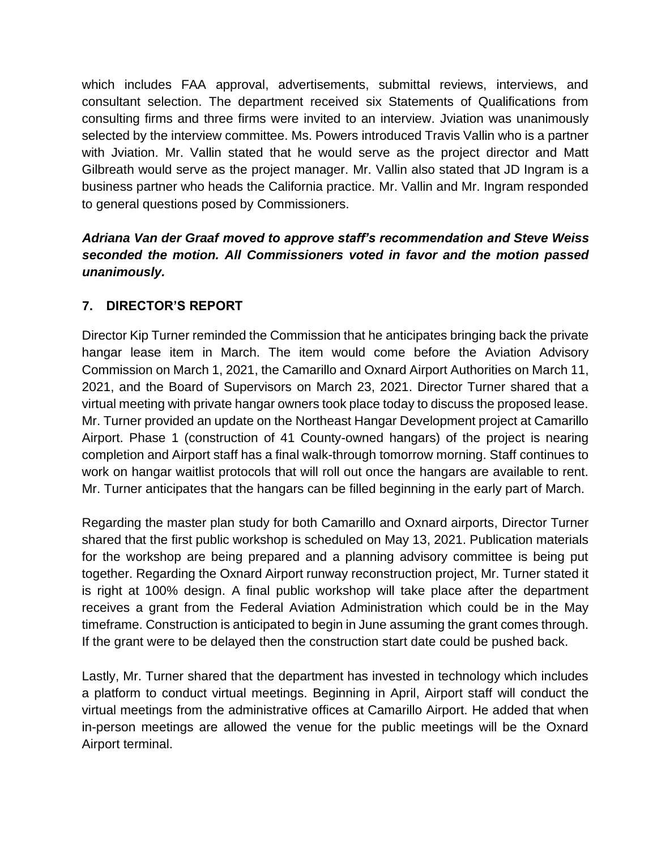which includes FAA approval, advertisements, submittal reviews, interviews, and consultant selection. The department received six Statements of Qualifications from consulting firms and three firms were invited to an interview. Jviation was unanimously selected by the interview committee. Ms. Powers introduced Travis Vallin who is a partner with Jviation. Mr. Vallin stated that he would serve as the project director and Matt Gilbreath would serve as the project manager. Mr. Vallin also stated that JD Ingram is a business partner who heads the California practice. Mr. Vallin and Mr. Ingram responded to general questions posed by Commissioners.

# *Adriana Van der Graaf moved to approve staff's recommendation and Steve Weiss seconded the motion. All Commissioners voted in favor and the motion passed unanimously.*

# **7. DIRECTOR'S REPORT**

Director Kip Turner reminded the Commission that he anticipates bringing back the private hangar lease item in March. The item would come before the Aviation Advisory Commission on March 1, 2021, the Camarillo and Oxnard Airport Authorities on March 11, 2021, and the Board of Supervisors on March 23, 2021. Director Turner shared that a virtual meeting with private hangar owners took place today to discuss the proposed lease. Mr. Turner provided an update on the Northeast Hangar Development project at Camarillo Airport. Phase 1 (construction of 41 County-owned hangars) of the project is nearing completion and Airport staff has a final walk-through tomorrow morning. Staff continues to work on hangar waitlist protocols that will roll out once the hangars are available to rent. Mr. Turner anticipates that the hangars can be filled beginning in the early part of March.

Regarding the master plan study for both Camarillo and Oxnard airports, Director Turner shared that the first public workshop is scheduled on May 13, 2021. Publication materials for the workshop are being prepared and a planning advisory committee is being put together. Regarding the Oxnard Airport runway reconstruction project, Mr. Turner stated it is right at 100% design. A final public workshop will take place after the department receives a grant from the Federal Aviation Administration which could be in the May timeframe. Construction is anticipated to begin in June assuming the grant comes through. If the grant were to be delayed then the construction start date could be pushed back.

Lastly, Mr. Turner shared that the department has invested in technology which includes a platform to conduct virtual meetings. Beginning in April, Airport staff will conduct the virtual meetings from the administrative offices at Camarillo Airport. He added that when in-person meetings are allowed the venue for the public meetings will be the Oxnard Airport terminal.